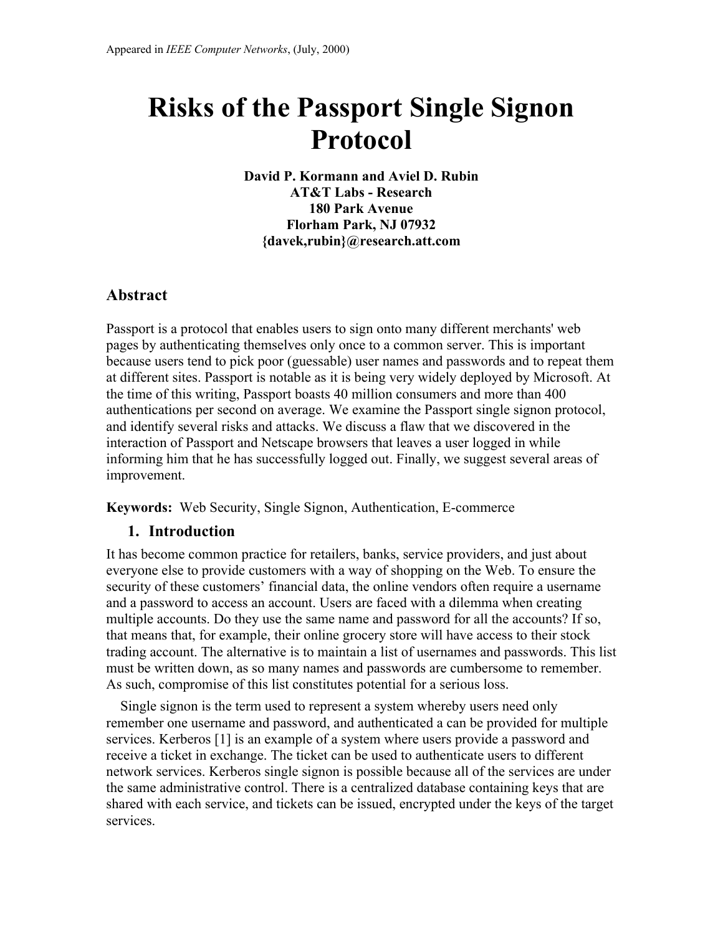# **Risks of the Passport Single Signon Protocol**

**David P. Kormann and Aviel D. Rubin AT&T Labs - Research 180 Park Avenue Florham Park, NJ 07932 {davek,rubin}@research.att.com**

# **Abstract**

Passport is a protocol that enables users to sign onto many different merchants' web pages by authenticating themselves only once to a common server. This is important because users tend to pick poor (guessable) user names and passwords and to repeat them at different sites. Passport is notable as it is being very widely deployed by Microsoft. At the time of this writing, Passport boasts 40 million consumers and more than 400 authentications per second on average. We examine the Passport single signon protocol, and identify several risks and attacks. We discuss a flaw that we discovered in the interaction of Passport and Netscape browsers that leaves a user logged in while informing him that he has successfully logged out. Finally, we suggest several areas of improvement.

**Keywords:** Web Security, Single Signon, Authentication, E-commerce

# **1. Introduction**

It has become common practice for retailers, banks, service providers, and just about everyone else to provide customers with a way of shopping on the Web. To ensure the security of these customers' financial data, the online vendors often require a username and a password to access an account. Users are faced with a dilemma when creating multiple accounts. Do they use the same name and password for all the accounts? If so, that means that, for example, their online grocery store will have access to their stock trading account. The alternative is to maintain a list of usernames and passwords. This list must be written down, as so many names and passwords are cumbersome to remember. As such, compromise of this list constitutes potential for a serious loss.

Single signon is the term used to represent a system whereby users need only remember one username and password, and authenticated a can be provided for multiple services. Kerberos [1] is an example of a system where users provide a password and receive a ticket in exchange. The ticket can be used to authenticate users to different network services. Kerberos single signon is possible because all of the services are under the same administrative control. There is a centralized database containing keys that are shared with each service, and tickets can be issued, encrypted under the keys of the target services.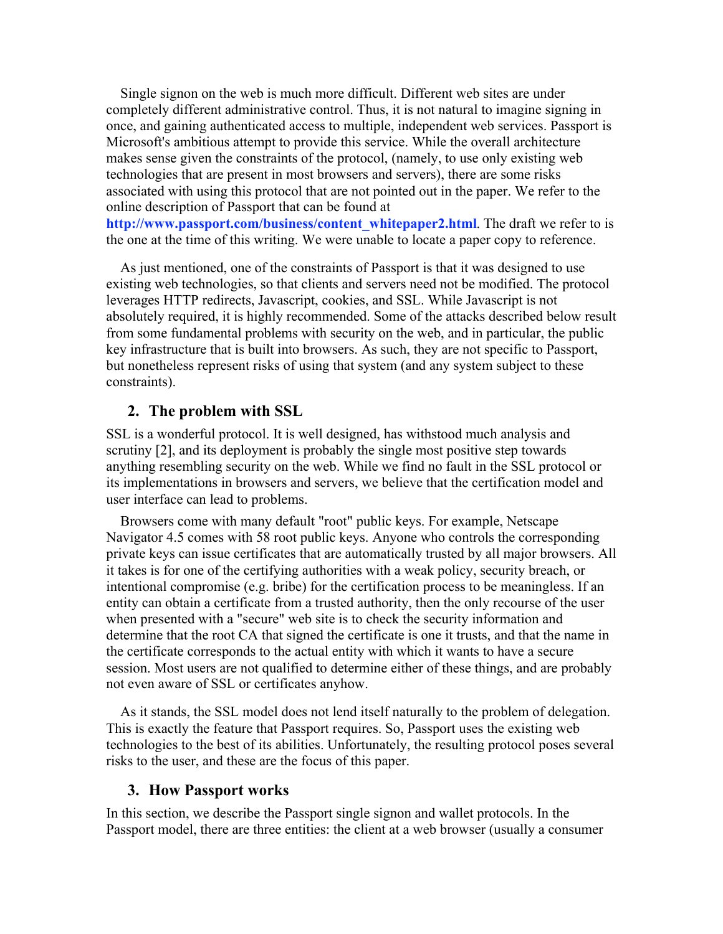Single signon on the web is much more difficult. Different web sites are under completely different administrative control. Thus, it is not natural to imagine signing in once, and gaining authenticated access to multiple, independent web services. Passport is Microsoft's ambitious attempt to provide this service. While the overall architecture makes sense given the constraints of the protocol, (namely, to use only existing web technologies that are present in most browsers and servers), there are some risks associated with using this protocol that are not pointed out in the paper. We refer to the online description of Passport that can be found at http://www.passport.com/business/content\_whitepaper2.html. The draft we refer to is the one at the time of this writing. We were unable to locate a paper copy to reference.

As just mentioned, one of the constraints of Passport is that it was designed to use existing web technologies, so that clients and servers need not be modified. The protocol leverages HTTP redirects, Javascript, cookies, and SSL. While Javascript is not absolutely required, it is highly recommended. Some of the attacks described below result from some fundamental problems with security on the web, and in particular, the public key infrastructure that is built into browsers. As such, they are not specific to Passport, but nonetheless represent risks of using that system (and any system subject to these constraints).

# **2. The problem with SSL**

SSL is a wonderful protocol. It is well designed, has withstood much analysis and scrutiny [2], and its deployment is probably the single most positive step towards anything resembling security on the web. While we find no fault in the SSL protocol or its implementations in browsers and servers, we believe that the certification model and user interface can lead to problems.

Browsers come with many default "root" public keys. For example, Netscape Navigator 4.5 comes with 58 root public keys. Anyone who controls the corresponding private keys can issue certificates that are automatically trusted by all major browsers. All it takes is for one of the certifying authorities with a weak policy, security breach, or intentional compromise (e.g. bribe) for the certification process to be meaningless. If an entity can obtain a certificate from a trusted authority, then the only recourse of the user when presented with a "secure" web site is to check the security information and determine that the root CA that signed the certificate is one it trusts, and that the name in the certificate corresponds to the actual entity with which it wants to have a secure session. Most users are not qualified to determine either of these things, and are probably not even aware of SSL or certificates anyhow.

As it stands, the SSL model does not lend itself naturally to the problem of delegation. This is exactly the feature that Passport requires. So, Passport uses the existing web technologies to the best of its abilities. Unfortunately, the resulting protocol poses several risks to the user, and these are the focus of this paper.

#### **3. How Passport works**

In this section, we describe the Passport single signon and wallet protocols. In the Passport model, there are three entities: the client at a web browser (usually a consumer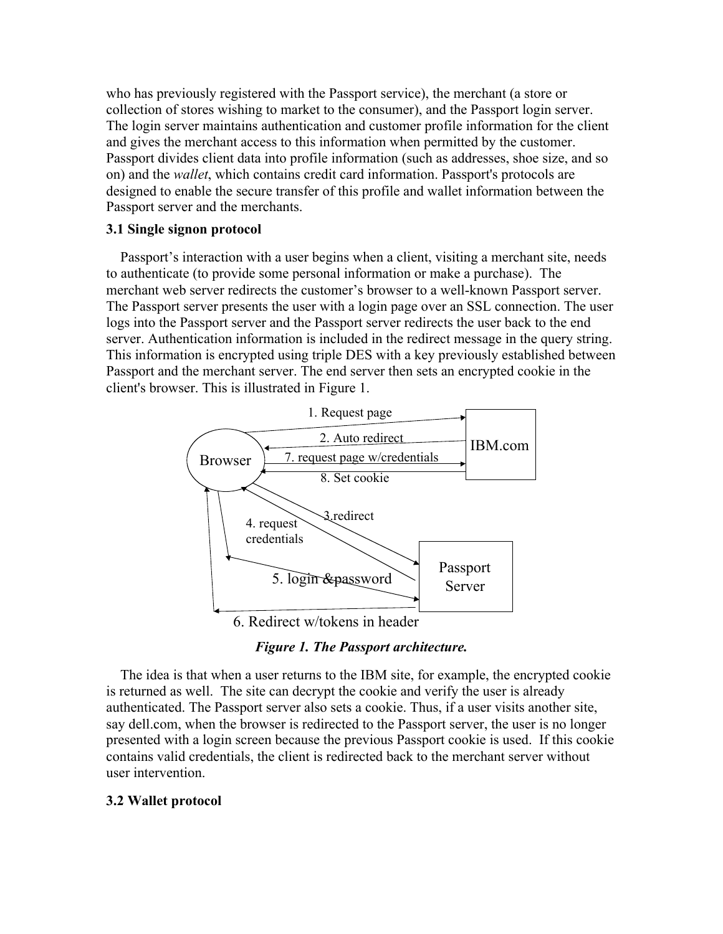who has previously registered with the Passport service), the merchant (a store or collection of stores wishing to market to the consumer), and the Passport login server. The login server maintains authentication and customer profile information for the client and gives the merchant access to this information when permitted by the customer. Passport divides client data into profile information (such as addresses, shoe size, and so on) and the *wallet*, which contains credit card information. Passport's protocols are designed to enable the secure transfer of this profile and wallet information between the Passport server and the merchants.

## **3.1 Single signon protocol**

Passport's interaction with a user begins when a client, visiting a merchant site, needs to authenticate (to provide some personal information or make a purchase). The merchant web server redirects the customer's browser to a well-known Passport server. The Passport server presents the user with a login page over an SSL connection. The user logs into the Passport server and the Passport server redirects the user back to the end server. Authentication information is included in the redirect message in the query string. This information is encrypted using triple DES with a key previously established between Passport and the merchant server. The end server then sets an encrypted cookie in the client's browser. This is illustrated in Figure 1.



*Figure 1. The Passport architecture.*

The idea is that when a user returns to the IBM site, for example, the encrypted cookie is returned as well. The site can decrypt the cookie and verify the user is already authenticated. The Passport server also sets a cookie. Thus, if a user visits another site, say dell.com, when the browser is redirected to the Passport server, the user is no longer presented with a login screen because the previous Passport cookie is used. If this cookie contains valid credentials, the client is redirected back to the merchant server without user intervention.

# **3.2 Wallet protocol**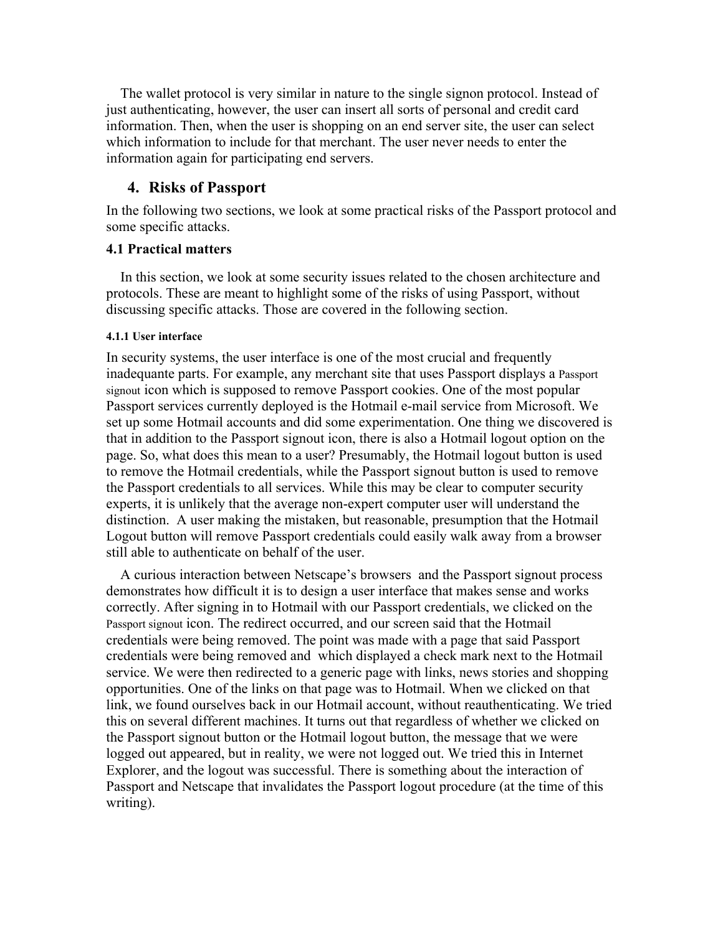The wallet protocol is very similar in nature to the single signon protocol. Instead of just authenticating, however, the user can insert all sorts of personal and credit card information. Then, when the user is shopping on an end server site, the user can select which information to include for that merchant. The user never needs to enter the information again for participating end servers.

# **4. Risks of Passport**

In the following two sections, we look at some practical risks of the Passport protocol and some specific attacks.

## **4.1 Practical matters**

In this section, we look at some security issues related to the chosen architecture and protocols. These are meant to highlight some of the risks of using Passport, without discussing specific attacks. Those are covered in the following section.

#### **4.1.1 User interface**

In security systems, the user interface is one of the most crucial and frequently inadequante parts. For example, any merchant site that uses Passport displays a Passport signout icon which is supposed to remove Passport cookies. One of the most popular Passport services currently deployed is the Hotmail e-mail service from Microsoft. We set up some Hotmail accounts and did some experimentation. One thing we discovered is that in addition to the Passport signout icon, there is also a Hotmail logout option on the page. So, what does this mean to a user? Presumably, the Hotmail logout button is used to remove the Hotmail credentials, while the Passport signout button is used to remove the Passport credentials to all services. While this may be clear to computer security experts, it is unlikely that the average non-expert computer user will understand the distinction. A user making the mistaken, but reasonable, presumption that the Hotmail Logout button will remove Passport credentials could easily walk away from a browser still able to authenticate on behalf of the user.

A curious interaction between Netscape's browsers and the Passport signout process demonstrates how difficult it is to design a user interface that makes sense and works correctly. After signing in to Hotmail with our Passport credentials, we clicked on the Passport signout icon. The redirect occurred, and our screen said that the Hotmail credentials were being removed. The point was made with a page that said Passport credentials were being removed and which displayed a check mark next to the Hotmail service. We were then redirected to a generic page with links, news stories and shopping opportunities. One of the links on that page was to Hotmail. When we clicked on that link, we found ourselves back in our Hotmail account, without reauthenticating. We tried this on several different machines. It turns out that regardless of whether we clicked on the Passport signout button or the Hotmail logout button, the message that we were logged out appeared, but in reality, we were not logged out. We tried this in Internet Explorer, and the logout was successful. There is something about the interaction of Passport and Netscape that invalidates the Passport logout procedure (at the time of this writing).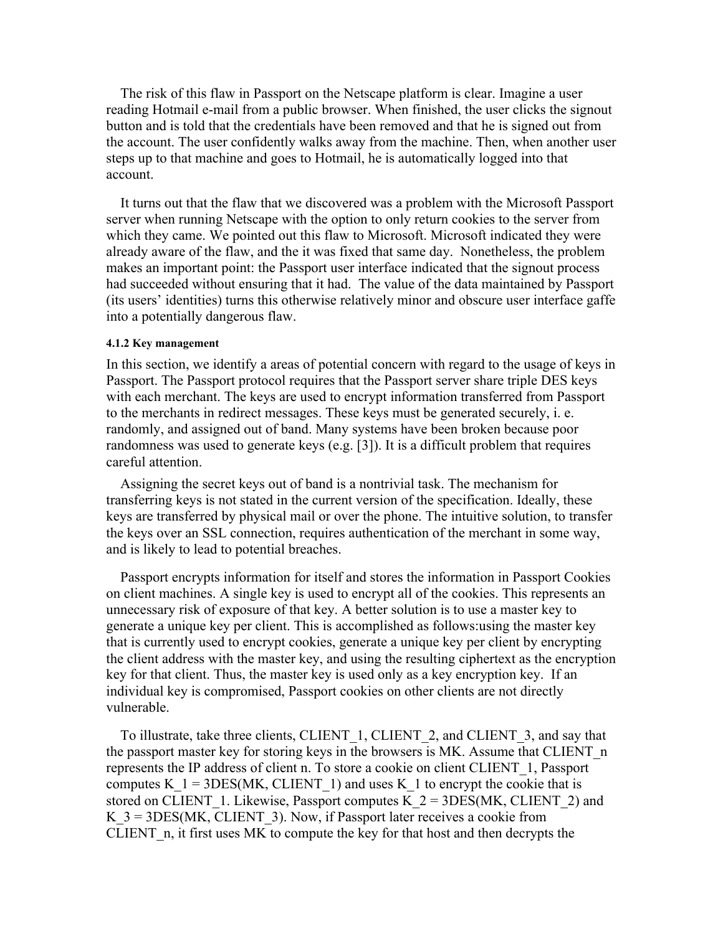The risk of this flaw in Passport on the Netscape platform is clear. Imagine a user reading Hotmail e-mail from a public browser. When finished, the user clicks the signout button and is told that the credentials have been removed and that he is signed out from the account. The user confidently walks away from the machine. Then, when another user steps up to that machine and goes to Hotmail, he is automatically logged into that account.

It turns out that the flaw that we discovered was a problem with the Microsoft Passport server when running Netscape with the option to only return cookies to the server from which they came. We pointed out this flaw to Microsoft. Microsoft indicated they were already aware of the flaw, and the it was fixed that same day. Nonetheless, the problem makes an important point: the Passport user interface indicated that the signout process had succeeded without ensuring that it had. The value of the data maintained by Passport (its users' identities) turns this otherwise relatively minor and obscure user interface gaffe into a potentially dangerous flaw.

#### **4.1.2 Key management**

In this section, we identify a areas of potential concern with regard to the usage of keys in Passport. The Passport protocol requires that the Passport server share triple DES keys with each merchant. The keys are used to encrypt information transferred from Passport to the merchants in redirect messages. These keys must be generated securely, i. e. randomly, and assigned out of band. Many systems have been broken because poor randomness was used to generate keys (e.g. [3]). It is a difficult problem that requires careful attention.

Assigning the secret keys out of band is a nontrivial task. The mechanism for transferring keys is not stated in the current version of the specification. Ideally, these keys are transferred by physical mail or over the phone. The intuitive solution, to transfer the keys over an SSL connection, requires authentication of the merchant in some way, and is likely to lead to potential breaches.

Passport encrypts information for itself and stores the information in Passport Cookies on client machines. A single key is used to encrypt all of the cookies. This represents an unnecessary risk of exposure of that key. A better solution is to use a master key to generate a unique key per client. This is accomplished as follows:using the master key that is currently used to encrypt cookies, generate a unique key per client by encrypting the client address with the master key, and using the resulting ciphertext as the encryption key for that client. Thus, the master key is used only as a key encryption key. If an individual key is compromised, Passport cookies on other clients are not directly vulnerable.

To illustrate, take three clients, CLIENT\_1, CLIENT\_2, and CLIENT\_3, and say that the passport master key for storing keys in the browsers is MK. Assume that CLIENT\_n represents the IP address of client n. To store a cookie on client CLIENT\_1, Passport computes K\_1 = 3DES(MK, CLIENT\_1) and uses K\_1 to encrypt the cookie that is stored on CLIENT 1. Likewise, Passport computes K  $2 = 3$ DES(MK, CLIENT 2) and K\_3 = 3DES(MK, CLIENT\_3). Now, if Passport later receives a cookie from CLIENT\_n, it first uses MK to compute the key for that host and then decrypts the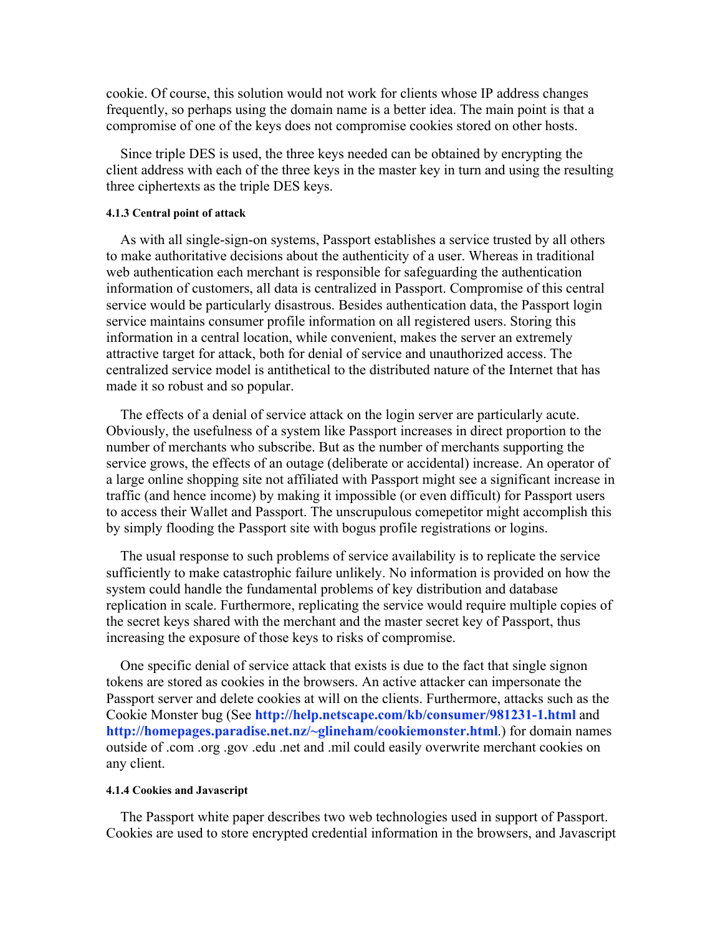cookie. Of course, this solution would not work for clients whose IP address changes frequently, so perhaps using the domain name is a better idea. The main point is that a compromise of one of the keys does not compromise cookies stored on other hosts.

Since triple DES is used, the three keys needed can be obtained by encrypting the client address with each of the three keys in the master key in turn and using the resulting three ciphertexts as the triple DES keys.

#### **4.1.3 Central point of attack**

As with all single-sign-on systems, Passport establishes a service trusted by all others to make authoritative decisions about the authenticity of a user. Whereas in traditional web authentication each merchant is responsible for safeguarding the authentication information of customers, all data is centralized in Passport. Compromise of this central service would be particularly disastrous. Besides authentication data, the Passport login service maintains consumer profile information on all registered users. Storing this information in a central location, while convenient, makes the server an extremely attractive target for attack, both for denial of service and unauthorized access. The centralized service model is antithetical to the distributed nature of the Internet that has made it so robust and so popular.

The effects of a denial of service attack on the login server are particularly acute. Obviously, the usefulness of a system like Passport increases in direct proportion to the number of merchants who subscribe. But as the number of merchants supporting the service grows, the effects of an outage (deliberate or accidental) increase. An operator of a large online shopping site not affiliated with Passport might see a significant increase in traffic (and hence income) by making it impossible (or even difficult) for Passport users to access their Wallet and Passport. The unscrupulous comepetitor might accomplish this by simply flooding the Passport site with bogus profile registrations or logins.

The usual response to such problems of service availability is to replicate the service sufficiently to make catastrophic failure unlikely. No information is provided on how the system could handle the fundamental problems of key distribution and database replication in scale. Furthermore, replicating the service would require multiple copies of the secret keys shared with the merchant and the master secret key of Passport, thus increasing the exposure of those keys to risks of compromise.

One specific denial of service attack that exists is due to the fact that single signon tokens are stored as cookies in the browsers. An active attacker can impersonate the Passport server and delete cookies at will on the clients. Furthermore, attacks such as the Cookie Monster bug (See **http://help.netscape.com/kb/consumer/981231-1.html** and **http://homepages.paradise.net.nz/~glineham/cookiemonster.html**.) for domain names outside of .com .org .gov .edu .net and .mil could easily overwrite merchant cookies on any client.

#### **4.1.4 Cookies and Javascript**

The Passport white paper describes two web technologies used in support of Passport. Cookies are used to store encrypted credential information in the browsers, and Javascript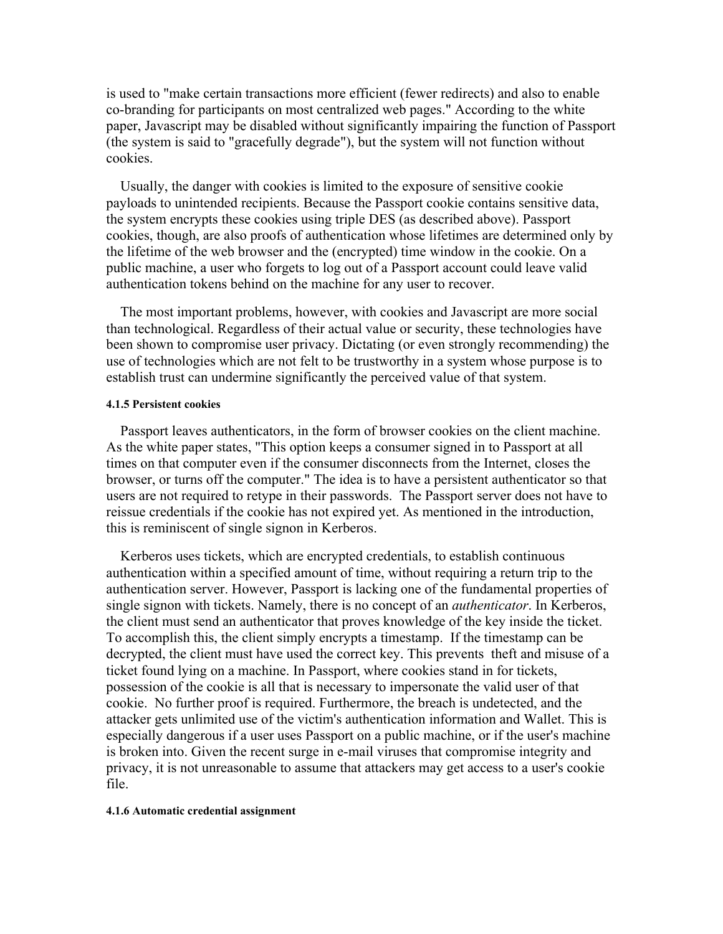is used to "make certain transactions more efficient (fewer redirects) and also to enable co-branding for participants on most centralized web pages." According to the white paper, Javascript may be disabled without significantly impairing the function of Passport (the system is said to "gracefully degrade"), but the system will not function without cookies.

Usually, the danger with cookies is limited to the exposure of sensitive cookie payloads to unintended recipients. Because the Passport cookie contains sensitive data, the system encrypts these cookies using triple DES (as described above). Passport cookies, though, are also proofs of authentication whose lifetimes are determined only by the lifetime of the web browser and the (encrypted) time window in the cookie. On a public machine, a user who forgets to log out of a Passport account could leave valid authentication tokens behind on the machine for any user to recover.

The most important problems, however, with cookies and Javascript are more social than technological. Regardless of their actual value or security, these technologies have been shown to compromise user privacy. Dictating (or even strongly recommending) the use of technologies which are not felt to be trustworthy in a system whose purpose is to establish trust can undermine significantly the perceived value of that system.

#### **4.1.5 Persistent cookies**

Passport leaves authenticators, in the form of browser cookies on the client machine. As the white paper states, "This option keeps a consumer signed in to Passport at all times on that computer even if the consumer disconnects from the Internet, closes the browser, or turns off the computer." The idea is to have a persistent authenticator so that users are not required to retype in their passwords. The Passport server does not have to reissue credentials if the cookie has not expired yet. As mentioned in the introduction, this is reminiscent of single signon in Kerberos.

Kerberos uses tickets, which are encrypted credentials, to establish continuous authentication within a specified amount of time, without requiring a return trip to the authentication server. However, Passport is lacking one of the fundamental properties of single signon with tickets. Namely, there is no concept of an *authenticator*. In Kerberos, the client must send an authenticator that proves knowledge of the key inside the ticket. To accomplish this, the client simply encrypts a timestamp. If the timestamp can be decrypted, the client must have used the correct key. This prevents theft and misuse of a ticket found lying on a machine. In Passport, where cookies stand in for tickets, possession of the cookie is all that is necessary to impersonate the valid user of that cookie. No further proof is required. Furthermore, the breach is undetected, and the attacker gets unlimited use of the victim's authentication information and Wallet. This is especially dangerous if a user uses Passport on a public machine, or if the user's machine is broken into. Given the recent surge in e-mail viruses that compromise integrity and privacy, it is not unreasonable to assume that attackers may get access to a user's cookie file.

#### **4.1.6 Automatic credential assignment**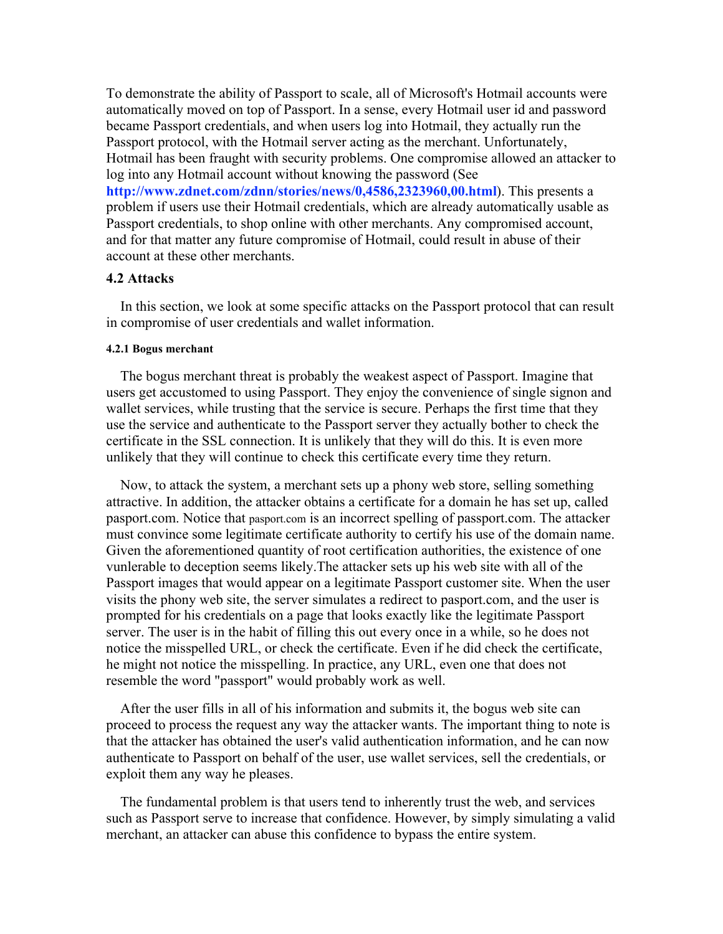To demonstrate the ability of Passport to scale, all of Microsoft's Hotmail accounts were automatically moved on top of Passport. In a sense, every Hotmail user id and password became Passport credentials, and when users log into Hotmail, they actually run the Passport protocol, with the Hotmail server acting as the merchant. Unfortunately, Hotmail has been fraught with security problems. One compromise allowed an attacker to log into any Hotmail account without knowing the password (See **http://www.zdnet.com/zdnn/stories/news/0,4586,2323960,00.html**). This presents a problem if users use their Hotmail credentials, which are already automatically usable as Passport credentials, to shop online with other merchants. Any compromised account, and for that matter any future compromise of Hotmail, could result in abuse of their account at these other merchants.

#### **4.2 Attacks**

In this section, we look at some specific attacks on the Passport protocol that can result in compromise of user credentials and wallet information.

#### **4.2.1 Bogus merchant**

The bogus merchant threat is probably the weakest aspect of Passport. Imagine that users get accustomed to using Passport. They enjoy the convenience of single signon and wallet services, while trusting that the service is secure. Perhaps the first time that they use the service and authenticate to the Passport server they actually bother to check the certificate in the SSL connection. It is unlikely that they will do this. It is even more unlikely that they will continue to check this certificate every time they return.

Now, to attack the system, a merchant sets up a phony web store, selling something attractive. In addition, the attacker obtains a certificate for a domain he has set up, called pasport.com. Notice that pasport.com is an incorrect spelling of passport.com. The attacker must convince some legitimate certificate authority to certify his use of the domain name. Given the aforementioned quantity of root certification authorities, the existence of one vunlerable to deception seems likely.The attacker sets up his web site with all of the Passport images that would appear on a legitimate Passport customer site. When the user visits the phony web site, the server simulates a redirect to pasport.com, and the user is prompted for his credentials on a page that looks exactly like the legitimate Passport server. The user is in the habit of filling this out every once in a while, so he does not notice the misspelled URL, or check the certificate. Even if he did check the certificate, he might not notice the misspelling. In practice, any URL, even one that does not resemble the word "passport" would probably work as well.

After the user fills in all of his information and submits it, the bogus web site can proceed to process the request any way the attacker wants. The important thing to note is that the attacker has obtained the user's valid authentication information, and he can now authenticate to Passport on behalf of the user, use wallet services, sell the credentials, or exploit them any way he pleases.

The fundamental problem is that users tend to inherently trust the web, and services such as Passport serve to increase that confidence. However, by simply simulating a valid merchant, an attacker can abuse this confidence to bypass the entire system.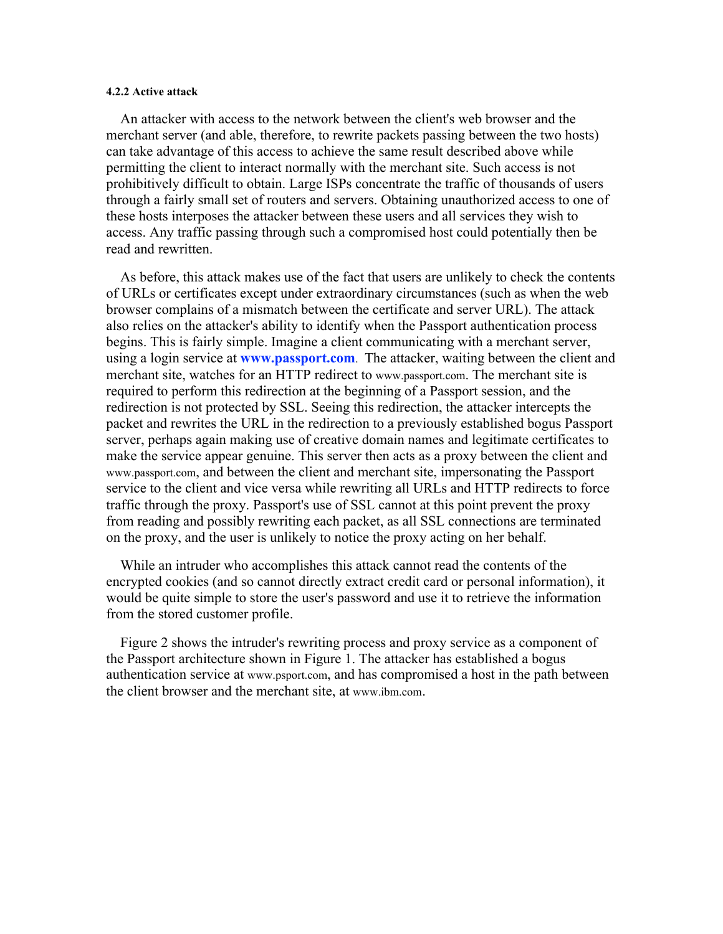#### **4.2.2 Active attack**

An attacker with access to the network between the client's web browser and the merchant server (and able, therefore, to rewrite packets passing between the two hosts) can take advantage of this access to achieve the same result described above while permitting the client to interact normally with the merchant site. Such access is not prohibitively difficult to obtain. Large ISPs concentrate the traffic of thousands of users through a fairly small set of routers and servers. Obtaining unauthorized access to one of these hosts interposes the attacker between these users and all services they wish to access. Any traffic passing through such a compromised host could potentially then be read and rewritten.

As before, this attack makes use of the fact that users are unlikely to check the contents of URLs or certificates except under extraordinary circumstances (such as when the web browser complains of a mismatch between the certificate and server URL). The attack also relies on the attacker's ability to identify when the Passport authentication process begins. This is fairly simple. Imagine a client communicating with a merchant server, using a login service at **www.passport.com**. The attacker, waiting between the client and merchant site, watches for an HTTP redirect to www.passport.com. The merchant site is required to perform this redirection at the beginning of a Passport session, and the redirection is not protected by SSL. Seeing this redirection, the attacker intercepts the packet and rewrites the URL in the redirection to a previously established bogus Passport server, perhaps again making use of creative domain names and legitimate certificates to make the service appear genuine. This server then acts as a proxy between the client and www.passport.com, and between the client and merchant site, impersonating the Passport service to the client and vice versa while rewriting all URLs and HTTP redirects to force traffic through the proxy. Passport's use of SSL cannot at this point prevent the proxy from reading and possibly rewriting each packet, as all SSL connections are terminated on the proxy, and the user is unlikely to notice the proxy acting on her behalf.

While an intruder who accomplishes this attack cannot read the contents of the encrypted cookies (and so cannot directly extract credit card or personal information), it would be quite simple to store the user's password and use it to retrieve the information from the stored customer profile.

Figure 2 shows the intruder's rewriting process and proxy service as a component of the Passport architecture shown in Figure 1. The attacker has established a bogus authentication service at www.psport.com, and has compromised a host in the path between the client browser and the merchant site, at www.ibm.com.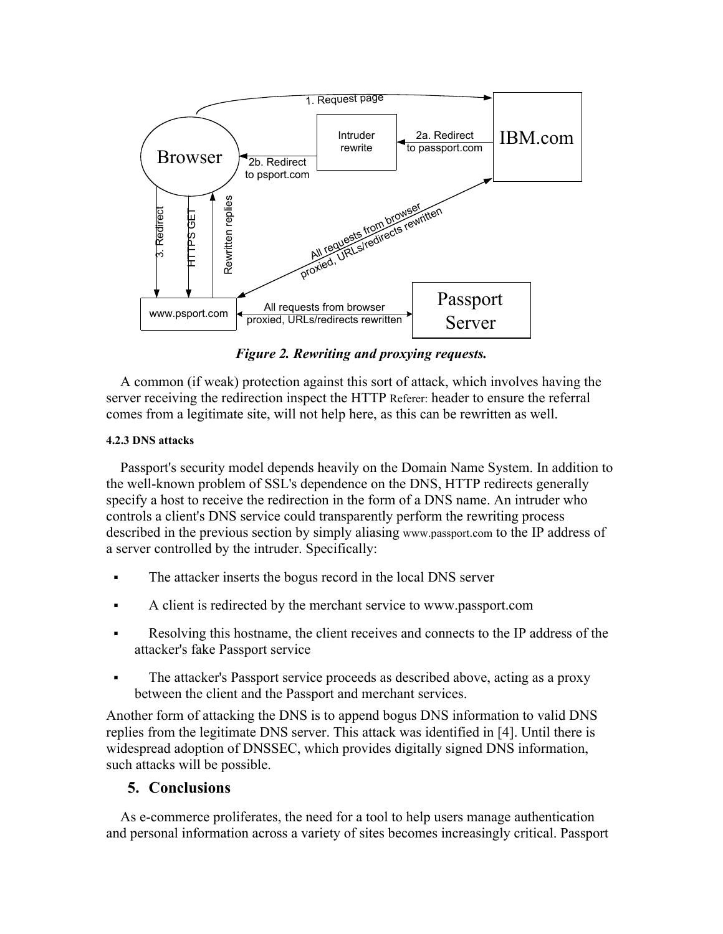

*Figure 2. Rewriting and proxying requests.*

A common (if weak) protection against this sort of attack, which involves having the server receiving the redirection inspect the HTTP Referer: header to ensure the referral comes from a legitimate site, will not help here, as this can be rewritten as well.

# **4.2.3 DNS attacks**

Passport's security model depends heavily on the Domain Name System. In addition to the well-known problem of SSL's dependence on the DNS, HTTP redirects generally specify a host to receive the redirection in the form of a DNS name. An intruder who controls a client's DNS service could transparently perform the rewriting process described in the previous section by simply aliasing www.passport.com to the IP address of a server controlled by the intruder. Specifically:

- The attacker inserts the bogus record in the local DNS server
- ß A client is redirected by the merchant service to www.passport.com
- ß Resolving this hostname, the client receives and connects to the IP address of the attacker's fake Passport service
- ß The attacker's Passport service proceeds as described above, acting as a proxy between the client and the Passport and merchant services.

Another form of attacking the DNS is to append bogus DNS information to valid DNS replies from the legitimate DNS server. This attack was identified in [4]. Until there is widespread adoption of DNSSEC, which provides digitally signed DNS information, such attacks will be possible.

# **5. Conclusions**

As e-commerce proliferates, the need for a tool to help users manage authentication and personal information across a variety of sites becomes increasingly critical. Passport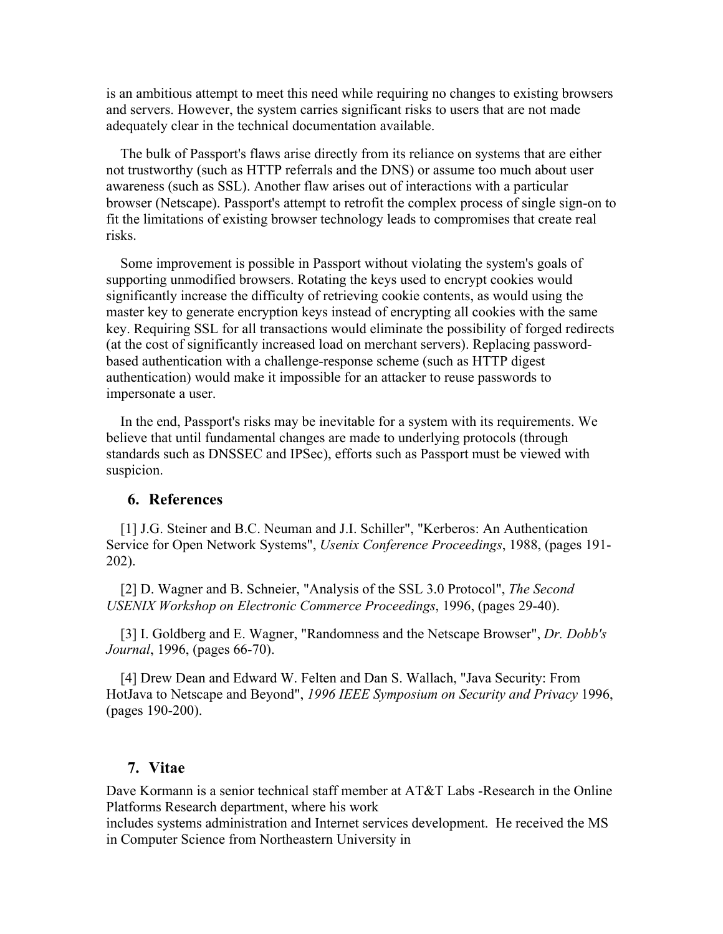is an ambitious attempt to meet this need while requiring no changes to existing browsers and servers. However, the system carries significant risks to users that are not made adequately clear in the technical documentation available.

The bulk of Passport's flaws arise directly from its reliance on systems that are either not trustworthy (such as HTTP referrals and the DNS) or assume too much about user awareness (such as SSL). Another flaw arises out of interactions with a particular browser (Netscape). Passport's attempt to retrofit the complex process of single sign-on to fit the limitations of existing browser technology leads to compromises that create real risks.

Some improvement is possible in Passport without violating the system's goals of supporting unmodified browsers. Rotating the keys used to encrypt cookies would significantly increase the difficulty of retrieving cookie contents, as would using the master key to generate encryption keys instead of encrypting all cookies with the same key. Requiring SSL for all transactions would eliminate the possibility of forged redirects (at the cost of significantly increased load on merchant servers). Replacing passwordbased authentication with a challenge-response scheme (such as HTTP digest authentication) would make it impossible for an attacker to reuse passwords to impersonate a user.

In the end, Passport's risks may be inevitable for a system with its requirements. We believe that until fundamental changes are made to underlying protocols (through standards such as DNSSEC and IPSec), efforts such as Passport must be viewed with suspicion.

## **6. References**

[1] J.G. Steiner and B.C. Neuman and J.I. Schiller", "Kerberos: An Authentication Service for Open Network Systems", *Usenix Conference Proceedings*, 1988, (pages 191- 202).

[2] D. Wagner and B. Schneier, "Analysis of the SSL 3.0 Protocol", *The Second USENIX Workshop on Electronic Commerce Proceedings*, 1996, (pages 29-40).

[3] I. Goldberg and E. Wagner, "Randomness and the Netscape Browser", *Dr. Dobb's Journal*, 1996, (pages 66-70).

[4] Drew Dean and Edward W. Felten and Dan S. Wallach, "Java Security: From HotJava to Netscape and Beyond", *1996 IEEE Symposium on Security and Privacy* 1996, (pages 190-200).

# **7. Vitae**

Dave Kormann is a senior technical staff member at AT&T Labs -Research in the Online Platforms Research department, where his work

includes systems administration and Internet services development. He received the MS in Computer Science from Northeastern University in